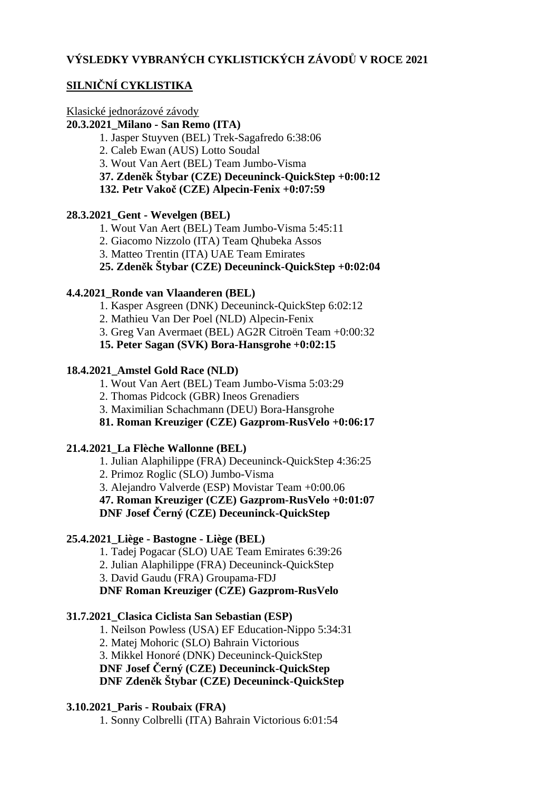## **SILNIČNÍ CYKLISTIKA**

## Klasické jednorázové závody

#### **20.3.2021\_Milano - San Remo (ITA)**

1. Jasper Stuyven (BEL) Trek-Sagafredo 6:38:06

2. Caleb Ewan (AUS) Lotto Soudal

3. Wout Van Aert (BEL) Team Jumbo-Visma

**37. Zdeněk Štybar (CZE) Deceuninck-QuickStep +0:00:12**

**132. Petr Vakoč (CZE) Alpecin-Fenix +0:07:59**

#### **28.3.2021\_Gent - Wevelgen (BEL)**

- 1. Wout Van Aert (BEL) Team Jumbo-Visma 5:45:11
- 2. Giacomo Nizzolo (ITA) Team Qhubeka Assos
- 3. Matteo Trentin (ITA) UAE Team Emirates

## **25. Zdeněk Štybar (CZE) Deceuninck-QuickStep +0:02:04**

## **4.4.2021\_Ronde van Vlaanderen (BEL)**

- 1. Kasper Asgreen (DNK) Deceuninck-QuickStep 6:02:12
- 2. Mathieu Van Der Poel (NLD) Alpecin-Fenix
- 3. Greg Van Avermaet (BEL) AG2R Citroën Team +0:00:32

**15. Peter Sagan (SVK) Bora-Hansgrohe +0:02:15**

## **18.4.2021\_Amstel Gold Race (NLD)**

1. Wout Van Aert (BEL) Team Jumbo-Visma 5:03:29

2. Thomas Pidcock (GBR) Ineos Grenadiers

3. Maximilian Schachmann (DEU) Bora-Hansgrohe

## **81. Roman Kreuziger (CZE) Gazprom-RusVelo +0:06:17**

#### **21.4.2021\_La Flèche Wallonne (BEL)**

1. Julian Alaphilippe (FRA) Deceuninck-QuickStep 4:36:25

2. Primoz Roglic (SLO) Jumbo-Visma

3. Alejandro Valverde (ESP) Movistar Team +0:00.06

# **47. Roman Kreuziger (CZE) Gazprom-RusVelo +0:01:07**

**DNF Josef Černý (CZE) Deceuninck-QuickStep**

## **25.4.2021\_Liège - Bastogne - Liège (BEL)**

1. Tadej Pogacar (SLO) UAE Team Emirates 6:39:26

2. Julian Alaphilippe (FRA) Deceuninck-QuickStep

3. David Gaudu (FRA) Groupama-FDJ

**DNF Roman Kreuziger (CZE) Gazprom-RusVelo**

## **31.7.2021\_Clasica Ciclista San Sebastian (ESP)**

1. Neilson Powless (USA) EF Education-Nippo 5:34:31

2. Matej Mohoric (SLO) Bahrain Victorious

3. Mikkel Honoré (DNK) Deceuninck-QuickStep

**DNF Josef Černý (CZE) Deceuninck-QuickStep**

**DNF Zdeněk Štybar (CZE) Deceuninck-QuickStep**

## **3.10.2021\_Paris - Roubaix (FRA)**

1. Sonny Colbrelli (ITA) Bahrain Victorious 6:01:54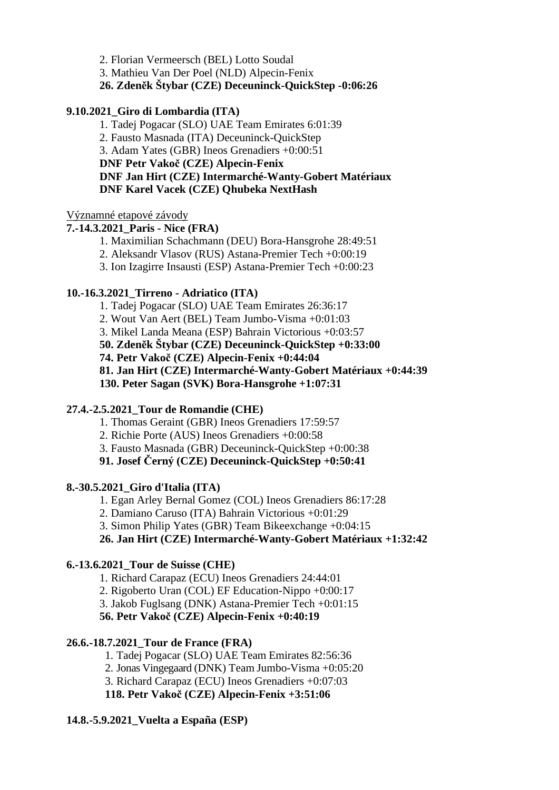2. Florian Vermeersch (BEL) Lotto Soudal

3. Mathieu Van Der Poel (NLD) Alpecin-Fenix

## **26. Zdeněk Štybar (CZE) Deceuninck-QuickStep -0:06:26**

#### **9.10.2021\_Giro di Lombardia (ITA)**

1. Tadej Pogacar (SLO) UAE Team Emirates 6:01:39 2. Fausto Masnada (ITA) Deceuninck-QuickStep 3. Adam Yates (GBR) Ineos Grenadiers +0:00:51 **DNF Petr Vakoč (CZE) Alpecin-Fenix DNF Jan Hirt (CZE) Intermarché-Wanty-Gobert Matériaux DNF Karel Vacek (CZE) Qhubeka NextHash**

#### Významné etapové závody

#### **7.-14.3.2021\_Paris - Nice (FRA)**

- 1. Maximilian Schachmann (DEU) Bora-Hansgrohe 28:49:51
- 2. Aleksandr Vlasov (RUS) Astana-Premier Tech +0:00:19
- 3. Ion Izagirre Insausti (ESP) Astana-Premier Tech +0:00:23

#### **10.-16.3.2021\_Tirreno - Adriatico (ITA)**

- 1. Tadej Pogacar (SLO) UAE Team Emirates 26:36:17
- 2. Wout Van Aert (BEL) Team Jumbo-Visma +0:01:03
- 3. Mikel Landa Meana (ESP) Bahrain Victorious +0:03:57
- **50. Zdeněk Štybar (CZE) Deceuninck-QuickStep +0:33:00**
- **74. Petr Vakoč (CZE) Alpecin-Fenix +0:44:04**

**81. Jan Hirt (CZE) Intermarché-Wanty-Gobert Matériaux +0:44:39**

**130. Peter Sagan (SVK) Bora-Hansgrohe +1:07:31**

#### **27.4.-2.5.2021\_Tour de Romandie (CHE)**

- 1. Thomas Geraint (GBR) Ineos Grenadiers 17:59:57
- 2. Richie Porte (AUS) Ineos Grenadiers +0:00:58
- 3. Fausto Masnada (GBR) Deceuninck-QuickStep +0:00:38

#### **91. Josef Černý (CZE) Deceuninck-QuickStep +0:50:41**

#### **8.-30.5.2021\_Giro d'Italia (ITA)**

1. Egan Arley Bernal Gomez (COL) Ineos Grenadiers 86:17:28

2. Damiano Caruso (ITA) Bahrain Victorious +0:01:29

3. Simon Philip Yates (GBR) Team Bikeexchange +0:04:15

**26. Jan Hirt (CZE) Intermarché-Wanty-Gobert Matériaux +1:32:42**

#### **6.-13.6.2021\_Tour de Suisse (CHE)**

- 1. Richard Carapaz (ECU) Ineos Grenadiers 24:44:01
- 2. Rigoberto Uran (COL) EF Education-Nippo +0:00:17
- 3. Jakob Fuglsang (DNK) Astana-Premier Tech +0:01:15

#### **56. Petr Vakoč (CZE) Alpecin-Fenix +0:40:19**

#### **26.6.-18.7.2021\_Tour de France (FRA)**

- 1. Tadej Pogacar (SLO) UAE Team Emirates 82:56:36
- 2. Jonas Vingegaard (DNK) Team Jumbo-Visma +0:05:20
- 3. Richard Carapaz (ECU) Ineos Grenadiers +0:07:03

**118. Petr Vakoč (CZE) Alpecin-Fenix +3:51:06**

#### **14.8.-5.9.2021\_Vuelta a España (ESP)**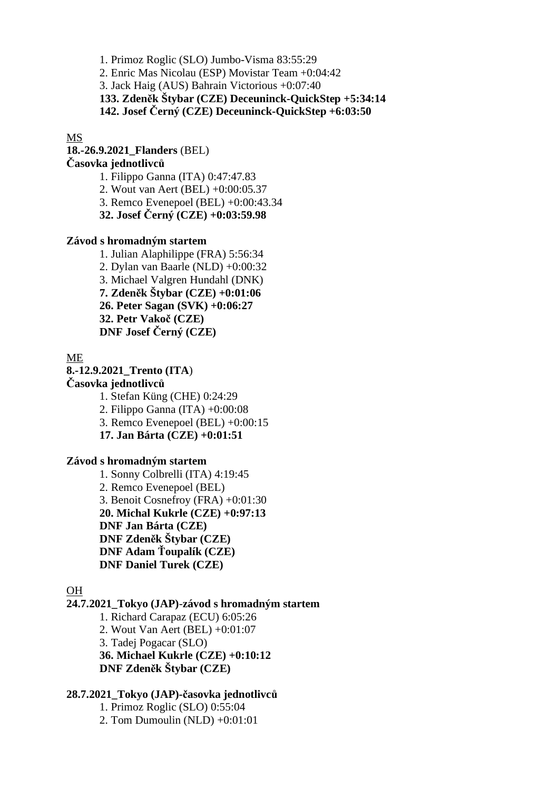1. Primoz Roglic (SLO) Jumbo-Visma 83:55:29

2. Enric Mas Nicolau (ESP) Movistar Team +0:04:42

3. Jack Haig (AUS) Bahrain Victorious +0:07:40

**133. Zdeněk Štybar (CZE) Deceuninck-QuickStep +5:34:14**

**142. Josef Černý (CZE) Deceuninck-QuickStep +6:03:50**

MS

**18.-26.9.2021\_Flanders** (BEL)

#### **Časovka jednotlivců**

1. Filippo Ganna (ITA) 0:47:47.83

2. Wout van Aert (BEL) +0:00:05.37

3. Remco Evenepoel (BEL) +0:00:43.34

**32. Josef Černý (CZE) +0:03:59.98**

#### **Závod s hromadným startem**

1. Julian Alaphilippe (FRA) 5:56:34 2. Dylan van Baarle (NLD) +0:00:32 3. Michael Valgren Hundahl (DNK) **7. Zdeněk Štybar (CZE) +0:01:06 26. Peter Sagan (SVK) +0:06:27 32. Petr Vakoč (CZE) DNF Josef Černý (CZE)**

ME

**8.-12.9.2021\_Trento (ITA**)

#### **Časovka jednotlivců**

1. Stefan Küng (CHE) 0:24:29

2. Filippo Ganna (ITA) +0:00:08

3. Remco Evenepoel (BEL) +0:00:15

**17. Jan Bárta (CZE) +0:01:51**

#### **Závod s hromadným startem**

1. Sonny Colbrelli (ITA) 4:19:45 2. Remco Evenepoel (BEL) 3. Benoit Cosnefroy (FRA) +0:01:30 **20. Michal Kukrle (CZE) +0:97:13 DNF Jan Bárta (CZE) DNF Zdeněk Štybar (CZE) DNF Adam Ťoupalík (CZE) DNF Daniel Turek (CZE)**

#### OH

#### **24.7.2021\_Tokyo (JAP)**-**závod s hromadným startem**

1. Richard Carapaz (ECU) 6:05:26 2. Wout Van Aert (BEL) +0:01:07 3. Tadej Pogacar (SLO) **36. Michael Kukrle (CZE) +0:10:12 DNF Zdeněk Štybar (CZE)**

#### **28.7.2021\_Tokyo (JAP)-časovka jednotlivců**

1. Primoz Roglic (SLO) 0:55:04 2. Tom Dumoulin (NLD) +0:01:01